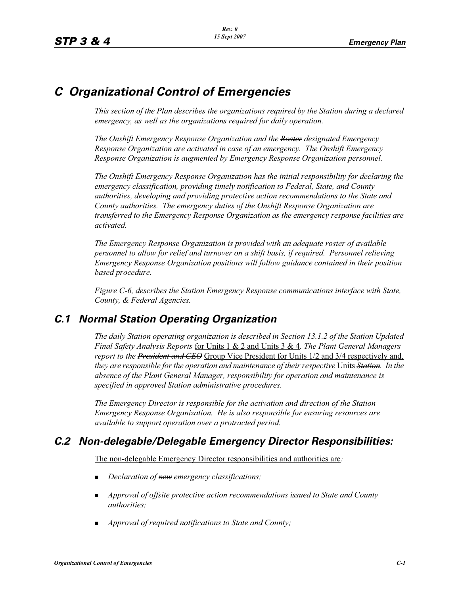# *C Organizational Control of Emergencies*

*This section of the Plan describes the organizations required by the Station during a declared emergency, as well as the organizations required for daily operation.*

*The Onshift Emergency Response Organization and the Roster designated Emergency Response Organization are activated in case of an emergency. The Onshift Emergency Response Organization is augmented by Emergency Response Organization personnel.* 

*The Onshift Emergency Response Organization has the initial responsibility for declaring the emergency classification, providing timely notification to Federal, State, and County authorities, developing and providing protective action recommendations to the State and County authorities. The emergency duties of the Onshift Response Organization are transferred to the Emergency Response Organization as the emergency response facilities are activated.* 

*The Emergency Response Organization is provided with an adequate roster of available personnel to allow for relief and turnover on a shift basis, if required. Personnel relieving Emergency Response Organization positions will follow guidance contained in their position based procedure.*

*Figure C-6, describes the Station Emergency Response communications interface with State, County, & Federal Agencies.*

# *C.1 Normal Station Operating Organization*

*The daily Station operating organization is described in Section 13.1.2 of the Station Updated Final Safety Analysis Reports* for Units 1 & 2 and Units 3 & 4*. The Plant General Managers report to the President and CEO* Group Vice President for Units 1/2 and 3/4 respectively and, *they are responsible for the operation and maintenance of their respective* Units *Station. In the absence of the Plant General Manager, responsibility for operation and maintenance is specified in approved Station administrative procedures.*

*The Emergency Director is responsible for the activation and direction of the Station Emergency Response Organization. He is also responsible for ensuring resources are available to support operation over a protracted period.*

# *C.2 Non-delegable/Delegable Emergency Director Responsibilities:*

The non-delegable Emergency Director responsibilities and authorities are*:*

- -*Declaration of new emergency classifications;*
- - *Approval of offsite protective action recommendations issued to State and County authorities;*
- **Approval of required notifications to State and County;**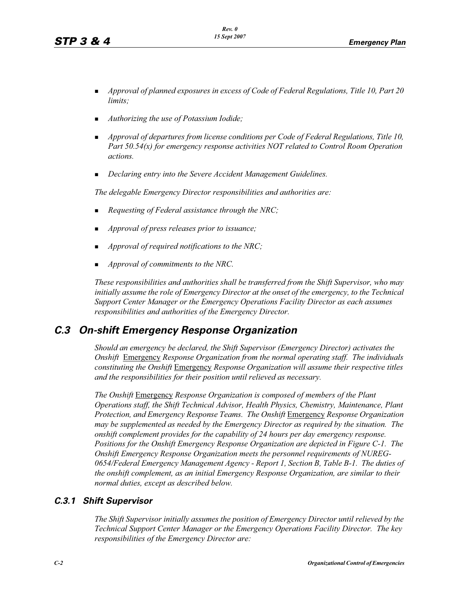- - *Approval of planned exposures in excess of Code of Federal Regulations, Title 10, Part 20 limits;*
- -*Authorizing the use of Potassium Iodide;*
- - *Approval of departures from license conditions per Code of Federal Regulations, Title 10, Part 50.54(x) for emergency response activities NOT related to Control Room Operation actions.*
- -*Declaring entry into the Severe Accident Management Guidelines.*

*The delegable Emergency Director responsibilities and authorities are:*

- -*Requesting of Federal assistance through the NRC;*
- -*Approval of press releases prior to issuance;*
- -*Approval of required notifications to the NRC;*
- -*Approval of commitments to the NRC.*

*These responsibilities and authorities shall be transferred from the Shift Supervisor, who may initially assume the role of Emergency Director at the onset of the emergency, to the Technical Support Center Manager or the Emergency Operations Facility Director as each assumes responsibilities and authorities of the Emergency Director.*

# *C.3 On-shift Emergency Response Organization*

*Should an emergency be declared, the Shift Supervisor (Emergency Director) activates the Onshift* Emergency *Response Organization from the normal operating staff. The individuals constituting the Onshift* Emergency *Response Organization will assume their respective titles and the responsibilities for their position until relieved as necessary.*

*The Onshift* Emergency *Response Organization is composed of members of the Plant Operations staff, the Shift Technical Advisor, Health Physics, Chemistry, Maintenance, Plant Protection, and Emergency Response Teams. The Onshift* Emergency *Response Organization may be supplemented as needed by the Emergency Director as required by the situation. The onshift complement provides for the capability of 24 hours per day emergency response. Positions for the Onshift Emergency Response Organization are depicted in Figure C-1. The Onshift Emergency Response Organization meets the personnel requirements of NUREG-0654/Federal Emergency Management Agency - Report 1, Section B, Table B-1. The duties of the onshift complement, as an initial Emergency Response Organization, are similar to their normal duties, except as described below.*

## *C.3.1 Shift Supervisor*

*The Shift Supervisor initially assumes the position of Emergency Director until relieved by the Technical Support Center Manager or the Emergency Operations Facility Director. The key responsibilities of the Emergency Director are:*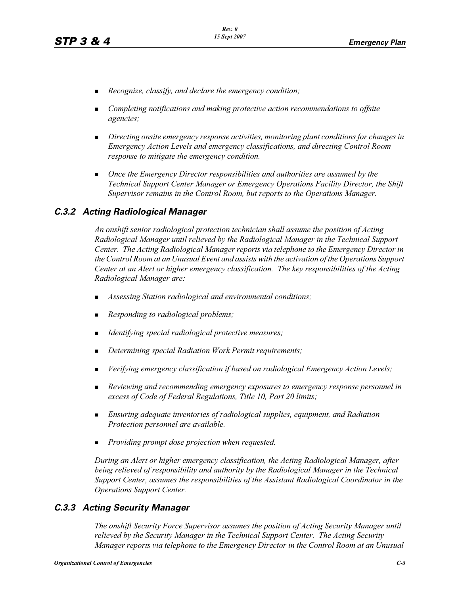- -*Recognize, classify, and declare the emergency condition;*
- - *Completing notifications and making protective action recommendations to offsite agencies;*
- - *Directing onsite emergency response activities, monitoring plant conditions for changes in Emergency Action Levels and emergency classifications, and directing Control Room response to mitigate the emergency condition.*
- - *Once the Emergency Director responsibilities and authorities are assumed by the Technical Support Center Manager or Emergency Operations Facility Director, the Shift Supervisor remains in the Control Room, but reports to the Operations Manager.*

#### *C.3.2 Acting Radiological Manager*

*An onshift senior radiological protection technician shall assume the position of Acting Radiological Manager until relieved by the Radiological Manager in the Technical Support Center. The Acting Radiological Manager reports via telephone to the Emergency Director in the Control Room at an Unusual Event and assists with the activation of the Operations Support Center at an Alert or higher emergency classification. The key responsibilities of the Acting Radiological Manager are:*

- -*Assessing Station radiological and environmental conditions;*
- -*Responding to radiological problems;*
- -*Identifying special radiological protective measures;*
- -*Determining special Radiation Work Permit requirements;*
- -*Verifying emergency classification if based on radiological Emergency Action Levels;*
- - *Reviewing and recommending emergency exposures to emergency response personnel in excess of Code of Federal Regulations, Title 10, Part 20 limits;*
- **Ensuring adequate inventories of radiological supplies, equipment, and Radiation** *Protection personnel are available.*
- -*Providing prompt dose projection when requested.*

*During an Alert or higher emergency classification, the Acting Radiological Manager, after being relieved of responsibility and authority by the Radiological Manager in the Technical Support Center, assumes the responsibilities of the Assistant Radiological Coordinator in the Operations Support Center.*

#### *C.3.3 Acting Security Manager*

*The onshift Security Force Supervisor assumes the position of Acting Security Manager until relieved by the Security Manager in the Technical Support Center. The Acting Security Manager reports via telephone to the Emergency Director in the Control Room at an Unusual*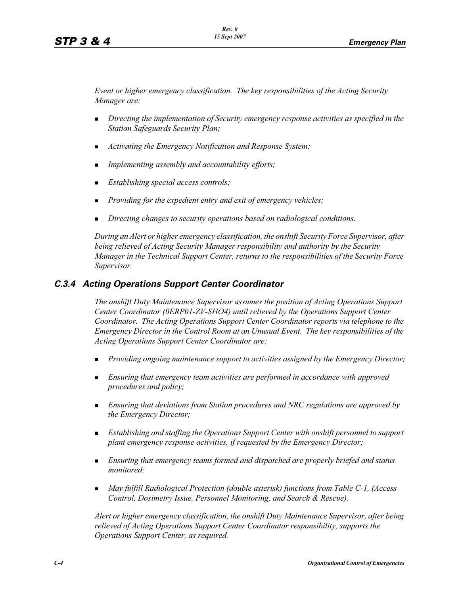*Event or higher emergency classification. The key responsibilities of the Acting Security Manager are:*

- - *Directing the implementation of Security emergency response activities as specified in the Station Safeguards Security Plan;*
- -*Activating the Emergency Notification and Response System;*
- -*Implementing assembly and accountability efforts;*
- -*Establishing special access controls;*
- -*Providing for the expedient entry and exit of emergency vehicles;*
- -*Directing changes to security operations based on radiological conditions.*

*During an Alert or higher emergency classification, the onshift Security Force Supervisor, after being relieved of Acting Security Manager responsibility and authority by the Security Manager in the Technical Support Center, returns to the responsibilities of the Security Force Supervisor.*

# *C.3.4 Acting Operations Support Center Coordinator*

*The onshift Duty Maintenance Supervisor assumes the position of Acting Operations Support Center Coordinator (0ERP01-ZV-SHO4) until relieved by the Operations Support Center Coordinator. The Acting Operations Support Center Coordinator reports via telephone to the Emergency Director in the Control Room at an Unusual Event. The key responsibilities of the Acting Operations Support Center Coordinator are:*

- -*Providing ongoing maintenance support to activities assigned by the Emergency Director;*
- - *Ensuring that emergency team activities are performed in accordance with approved procedures and policy;*
- **Ensuring that deviations from Station procedures and NRC regulations are approved by** *the Emergency Director;*
- **E**stablishing and staffing the Operations Support Center with onshift personnel to support *plant emergency response activities, if requested by the Emergency Director;*
- - *Ensuring that emergency teams formed and dispatched are properly briefed and status monitored;*
- - *May fulfill Radiological Protection (double asterisk) functions from Table C-1, (Access Control, Dosimetry Issue, Personnel Monitoring, and Search & Rescue).*

*Alert or higher emergency classification, the onshift Duty Maintenance Supervisor, after being relieved of Acting Operations Support Center Coordinator responsibility, supports the Operations Support Center, as required.*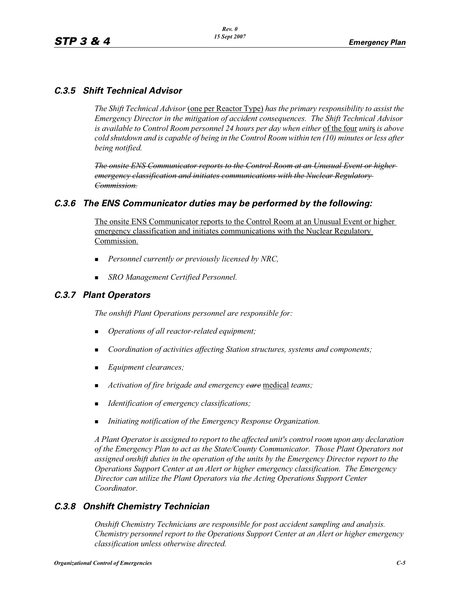# *C.3.5 Shift Technical Advisor*

*The Shift Technical Advisor* (one per Reactor Type) *has the primary responsibility to assist the Emergency Director in the mitigation of accident consequences. The Shift Technical Advisor is available to Control Room personnel 24 hours per day when either* of the four *unit*s *is above cold shutdown and is capable of being in the Control Room within ten (10) minutes or less after being notified.*

*The onsite ENS Communicator reports to the Control Room at an Unusual Event or higher emergency classification and initiates communications with the Nuclear Regulatory Commission.*

# *C.3.6 The ENS Communicator duties may be performed by the following:*

The onsite ENS Communicator reports to the Control Room at an Unusual Event or higher emergency classification and initiates communications with the Nuclear Regulatory Commission.

- -*Personnel currently or previously licensed by NRC,*
- -*SRO Management Certified Personnel.*

# *C.3.7 Plant Operators*

*The onshift Plant Operations personnel are responsible for:*

- -*Operations of all reactor-related equipment;*
- -*Coordination of activities affecting Station structures, systems and components;*
- -*Equipment clearances;*
- -*Activation of fire brigade and emergency care* medical *teams;*
- -*Identification of emergency classifications;*
- -*Initiating notification of the Emergency Response Organization.*

*A Plant Operator is assigned to report to the affected unit's control room upon any declaration of the Emergency Plan to act as the State/County Communicator. Those Plant Operators not assigned onshift duties in the operation of the units by the Emergency Director report to the Operations Support Center at an Alert or higher emergency classification. The Emergency Director can utilize the Plant Operators via the Acting Operations Support Center Coordinator.* 

# *C.3.8 Onshift Chemistry Technician*

*Onshift Chemistry Technicians are responsible for post accident sampling and analysis. Chemistry personnel report to the Operations Support Center at an Alert or higher emergency classification unless otherwise directed.*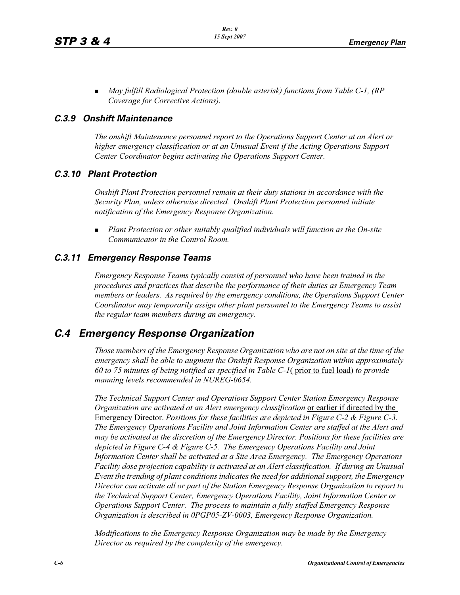**May fulfill Radiological Protection (double asterisk) functions from Table C-1, (RP** *Coverage for Corrective Actions).*

#### *C.3.9 Onshift Maintenance*

*The onshift Maintenance personnel report to the Operations Support Center at an Alert or higher emergency classification or at an Unusual Event if the Acting Operations Support Center Coordinator begins activating the Operations Support Center.*

#### *C.3.10 Plant Protection*

*Onshift Plant Protection personnel remain at their duty stations in accordance with the Security Plan, unless otherwise directed. Onshift Plant Protection personnel initiate notification of the Emergency Response Organization.*

- *Plant Protection or other suitably qualified individuals will function as the On-site Communicator in the Control Room.*

## *C.3.11 Emergency Response Teams*

*Emergency Response Teams typically consist of personnel who have been trained in the procedures and practices that describe the performance of their duties as Emergency Team members or leaders. As required by the emergency conditions, the Operations Support Center Coordinator may temporarily assign other plant personnel to the Emergency Teams to assist the regular team members during an emergency.*

# *C.4 Emergency Response Organization*

*Those members of the Emergency Response Organization who are not on site at the time of the emergency shall be able to augment the Onshift Response Organization within approximately 60 to 75 minutes of being notified as specified in Table C-1*( prior to fuel load) *to provide manning levels recommended in NUREG-0654.*

*The Technical Support Center and Operations Support Center Station Emergency Response Organization are activated at an Alert emergency classification or earlier if directed by the* Emergency Director. *Positions for these facilities are depicted in Figure C-2 & Figure C-3. The Emergency Operations Facility and Joint Information Center are staffed at the Alert and may be activated at the discretion of the Emergency Director. Positions for these facilities are depicted in Figure C-4 & Figure C-5. The Emergency Operations Facility and Joint Information Center shall be activated at a Site Area Emergency. The Emergency Operations Facility dose projection capability is activated at an Alert classification. If during an Unusual Event the trending of plant conditions indicates the need for additional support, the Emergency Director can activate all or part of the Station Emergency Response Organization to report to the Technical Support Center, Emergency Operations Facility, Joint Information Center or Operations Support Center. The process to maintain a fully staffed Emergency Response Organization is described in 0PGP05-ZV-0003, Emergency Response Organization.*

*Modifications to the Emergency Response Organization may be made by the Emergency Director as required by the complexity of the emergency.*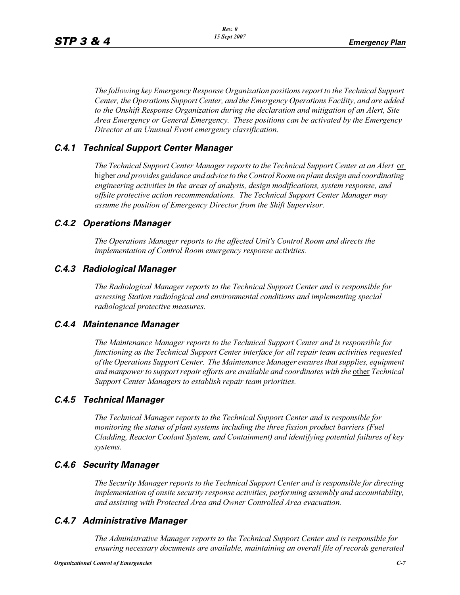*The following key Emergency Response Organization positions report to the Technical Support Center, the Operations Support Center, and the Emergency Operations Facility, and are added to the Onshift Response Organization during the declaration and mitigation of an Alert, Site Area Emergency or General Emergency. These positions can be activated by the Emergency Director at an Unusual Event emergency classification.*

## *C.4.1 Technical Support Center Manager*

*The Technical Support Center Manager reports to the Technical Support Center at an Alert* or higher *and provides guidance and advice to the Control Room on plant design and coordinating engineering activities in the areas of analysis, design modifications, system response, and offsite protective action recommendations. The Technical Support Center Manager may assume the position of Emergency Director from the Shift Supervisor.*

# *C.4.2 Operations Manager*

*The Operations Manager reports to the affected Unit's Control Room and directs the implementation of Control Room emergency response activities.*

# *C.4.3 Radiological Manager*

*The Radiological Manager reports to the Technical Support Center and is responsible for assessing Station radiological and environmental conditions and implementing special radiological protective measures.*

## *C.4.4 Maintenance Manager*

*The Maintenance Manager reports to the Technical Support Center and is responsible for functioning as the Technical Support Center interface for all repair team activities requested of the Operations Support Center. The Maintenance Manager ensures that supplies, equipment and manpower to support repair efforts are available and coordinates with the other Technical Support Center Managers to establish repair team priorities.* 

## *C.4.5 Technical Manager*

*The Technical Manager reports to the Technical Support Center and is responsible for monitoring the status of plant systems including the three fission product barriers (Fuel Cladding, Reactor Coolant System, and Containment) and identifying potential failures of key systems.* 

## *C.4.6 Security Manager*

*The Security Manager reports to the Technical Support Center and is responsible for directing implementation of onsite security response activities, performing assembly and accountability, and assisting with Protected Area and Owner Controlled Area evacuation.* 

## *C.4.7 Administrative Manager*

*The Administrative Manager reports to the Technical Support Center and is responsible for ensuring necessary documents are available, maintaining an overall file of records generated*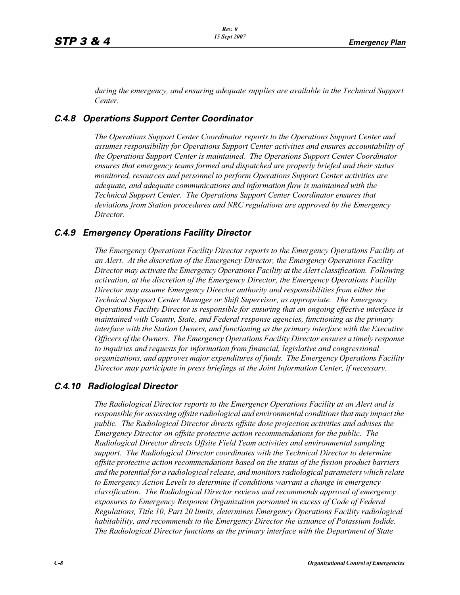*during the emergency, and ensuring adequate supplies are available in the Technical Support Center.* 

## *C.4.8 Operations Support Center Coordinator*

*The Operations Support Center Coordinator reports to the Operations Support Center and assumes responsibility for Operations Support Center activities and ensures accountability of the Operations Support Center is maintained. The Operations Support Center Coordinator ensures that emergency teams formed and dispatched are properly briefed and their status monitored, resources and personnel to perform Operations Support Center activities are adequate, and adequate communications and information flow is maintained with the Technical Support Center. The Operations Support Center Coordinator ensures that deviations from Station procedures and NRC regulations are approved by the Emergency Director.* 

#### *C.4.9 Emergency Operations Facility Director*

*The Emergency Operations Facility Director reports to the Emergency Operations Facility at an Alert. At the discretion of the Emergency Director, the Emergency Operations Facility Director may activate the Emergency Operations Facility at the Alert classification. Following activation, at the discretion of the Emergency Director, the Emergency Operations Facility Director may assume Emergency Director authority and responsibilities from either the Technical Support Center Manager or Shift Supervisor, as appropriate. The Emergency Operations Facility Director is responsible for ensuring that an ongoing effective interface is maintained with County, State, and Federal response agencies, functioning as the primary interface with the Station Owners, and functioning as the primary interface with the Executive Officers of the Owners. The Emergency Operations Facility Director ensures a timely response to inquiries and requests for information from financial, legislative and congressional organizations, and approves major expenditures of funds. The Emergency Operations Facility Director may participate in press briefings at the Joint Information Center, if necessary.* 

## *C.4.10 Radiological Director*

*The Radiological Director reports to the Emergency Operations Facility at an Alert and is responsible for assessing offsite radiological and environmental conditions that may impact the public. The Radiological Director directs offsite dose projection activities and advises the Emergency Director on offsite protective action recommendations for the public. The Radiological Director directs Offsite Field Team activities and environmental sampling support. The Radiological Director coordinates with the Technical Director to determine offsite protective action recommendations based on the status of the fission product barriers and the potential for a radiological release, and monitors radiological parameters which relate to Emergency Action Levels to determine if conditions warrant a change in emergency classification. The Radiological Director reviews and recommends approval of emergency exposures to Emergency Response Organization personnel in excess of Code of Federal Regulations, Title 10, Part 20 limits, determines Emergency Operations Facility radiological habitability, and recommends to the Emergency Director the issuance of Potassium Iodide. The Radiological Director functions as the primary interface with the Department of State*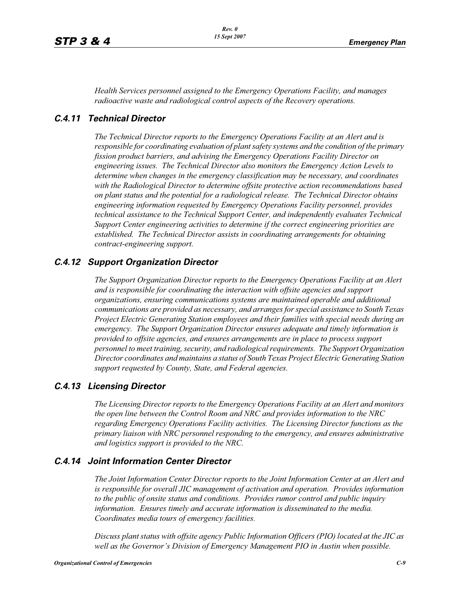*Health Services personnel assigned to the Emergency Operations Facility, and manages radioactive waste and radiological control aspects of the Recovery operations.* 

#### *C.4.11 Technical Director*

*The Technical Director reports to the Emergency Operations Facility at an Alert and is responsible for coordinating evaluation of plant safety systems and the condition of the primary fission product barriers, and advising the Emergency Operations Facility Director on engineering issues. The Technical Director also monitors the Emergency Action Levels to determine when changes in the emergency classification may be necessary, and coordinates with the Radiological Director to determine offsite protective action recommendations based on plant status and the potential for a radiological release. The Technical Director obtains engineering information requested by Emergency Operations Facility personnel, provides technical assistance to the Technical Support Center, and independently evaluates Technical Support Center engineering activities to determine if the correct engineering priorities are established. The Technical Director assists in coordinating arrangements for obtaining contract-engineering support.* 

#### *C.4.12 Support Organization Director*

*The Support Organization Director reports to the Emergency Operations Facility at an Alert and is responsible for coordinating the interaction with offsite agencies and support organizations, ensuring communications systems are maintained operable and additional communications are provided as necessary, and arranges for special assistance to South Texas Project Electric Generating Station employees and their families with special needs during an emergency. The Support Organization Director ensures adequate and timely information is provided to offsite agencies, and ensures arrangements are in place to process support personnel to meet training, security, and radiological requirements. The Support Organization Director coordinates and maintains a status of South Texas Project Electric Generating Station support requested by County, State, and Federal agencies.*

## *C.4.13 Licensing Director*

*The Licensing Director reports to the Emergency Operations Facility at an Alert and monitors the open line between the Control Room and NRC and provides information to the NRC regarding Emergency Operations Facility activities. The Licensing Director functions as the primary liaison with NRC personnel responding to the emergency, and ensures administrative and logistics support is provided to the NRC.*

#### *C.4.14 Joint Information Center Director*

*The Joint Information Center Director reports to the Joint Information Center at an Alert and is responsible for overall JIC management of activation and operation. Provides information to the public of onsite status and conditions. Provides rumor control and public inquiry information. Ensures timely and accurate information is disseminated to the media. Coordinates media tours of emergency facilities.* 

*Discuss plant status with offsite agency Public Information Officers (PIO) located at the JIC as well as the Governor's Division of Emergency Management PIO in Austin when possible.*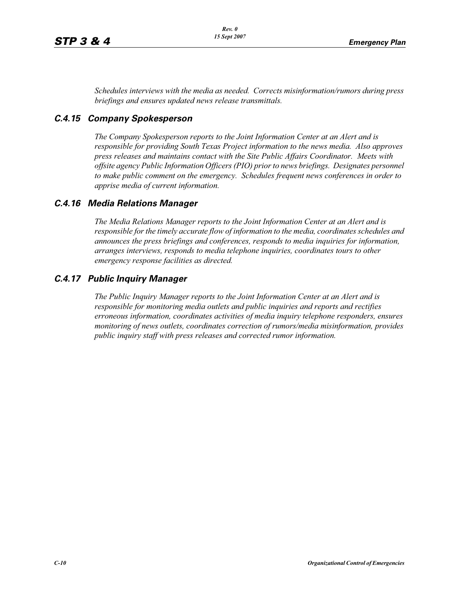*Schedules interviews with the media as needed. Corrects misinformation/rumors during press briefings and ensures updated news release transmittals.*

# *C.4.15 Company Spokesperson*

*The Company Spokesperson reports to the Joint Information Center at an Alert and is responsible for providing South Texas Project information to the news media. Also approves press releases and maintains contact with the Site Public Affairs Coordinator. Meets with offsite agency Public Information Officers (PIO) prior to news briefings. Designates personnel to make public comment on the emergency. Schedules frequent news conferences in order to apprise media of current information.* 

# *C.4.16 Media Relations Manager*

*The Media Relations Manager reports to the Joint Information Center at an Alert and is responsible for the timely accurate flow of information to the media, coordinates schedules and announces the press briefings and conferences, responds to media inquiries for information, arranges interviews, responds to media telephone inquiries, coordinates tours to other emergency response facilities as directed.*

# *C.4.17 Public Inquiry Manager*

*The Public Inquiry Manager reports to the Joint Information Center at an Alert and is responsible for monitoring media outlets and public inquiries and reports and rectifies erroneous information, coordinates activities of media inquiry telephone responders, ensures monitoring of news outlets, coordinates correction of rumors/media misinformation, provides public inquiry staff with press releases and corrected rumor information.*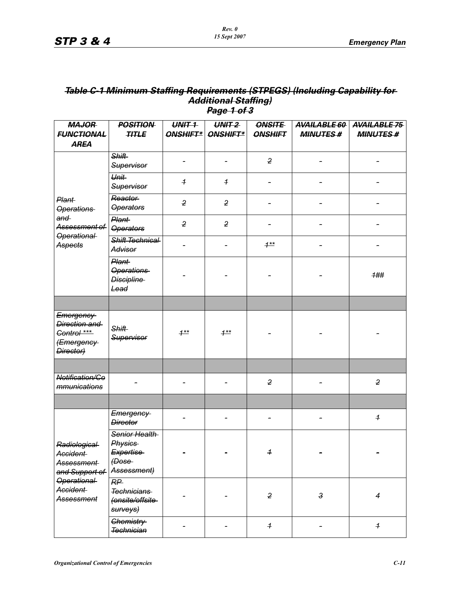## *Table C-1 Minimum Staffing Requirements (STPEGS) (Including Capability for Additional Staffing) Page 1 of 3*

| <b>MAJOR</b>                                                                                               | <b>POSITION</b>                                                                    | UNIT <sub>1</sub> | UNIT <sub>2</sub>   | <b>ONSITE</b>              | <b>AVAILABLE 60</b> | <b>AVAILABLE 75</b>      |
|------------------------------------------------------------------------------------------------------------|------------------------------------------------------------------------------------|-------------------|---------------------|----------------------------|---------------------|--------------------------|
| <b>FUNCTIONAL</b>                                                                                          | <b>TITLE</b>                                                                       |                   | ONSHIFT*   ONSHIFT* | <b>ONSHIFT</b>             | <b>MINUTES#</b>     | <b>MINUTES#</b>          |
| <b>AREA</b>                                                                                                |                                                                                    |                   |                     |                            |                     |                          |
|                                                                                                            | <b>Shift</b><br>Supervisor                                                         |                   |                     | $\overline{2}$             |                     |                          |
|                                                                                                            | Unit<br>Supervisor                                                                 | $\overline{1}$    | $\overline{1}$      |                            |                     |                          |
| Plant-<br><b>Operations</b>                                                                                | Reactor<br><b>Operators</b>                                                        | $\overline{2}$    | $\overline{2}$      |                            |                     |                          |
| and<br>Assessment of                                                                                       | Plant-<br><b>Operators</b>                                                         | $\overline{2}$    | $\overline{2}$      |                            |                     |                          |
| <b>Operational</b><br>Aspects                                                                              | Shift Technical<br>Advisor                                                         |                   |                     | $1***$                     |                     |                          |
|                                                                                                            | Plant-<br><b>Operations</b><br><b>Discipline</b><br>Lead                           |                   |                     |                            |                     | 1##                      |
|                                                                                                            |                                                                                    |                   |                     |                            |                     |                          |
| Emergency<br>Direction and<br>Control ***<br><del>(Emergency-</del><br>Director)                           | <b>Shift</b><br>Supervisor                                                         | $1^{**}$          | $1***$              |                            |                     |                          |
|                                                                                                            |                                                                                    |                   |                     |                            |                     |                          |
| Notification/Co<br>mmunications                                                                            |                                                                                    |                   |                     | $\overline{2}$             |                     | $\overline{2}$           |
|                                                                                                            |                                                                                    |                   |                     |                            |                     |                          |
| Radiological<br>Accident-<br>Assessment<br>and Support of<br><b>Operational</b><br>Accident-<br>Assessment | Emergency<br><b>Director</b>                                                       |                   |                     |                            |                     | $\overline{1}$           |
|                                                                                                            | Senior Health<br><b>Physics</b><br><b>Expertise</b><br>$\theta$ ose<br>Assessment) |                   |                     | $\overline{1}$             |                     |                          |
|                                                                                                            | RP<br>Technicians<br>(onsite/offsite-<br>surveys)                                  |                   |                     | $\overline{2}$             | $\mathbf{3}$        | $\overline{\mathcal{A}}$ |
|                                                                                                            | Chemistry-<br><b>Technician</b>                                                    |                   |                     | $\boldsymbol{\mathcal{F}}$ |                     | $\overline{\mathbf{f}}$  |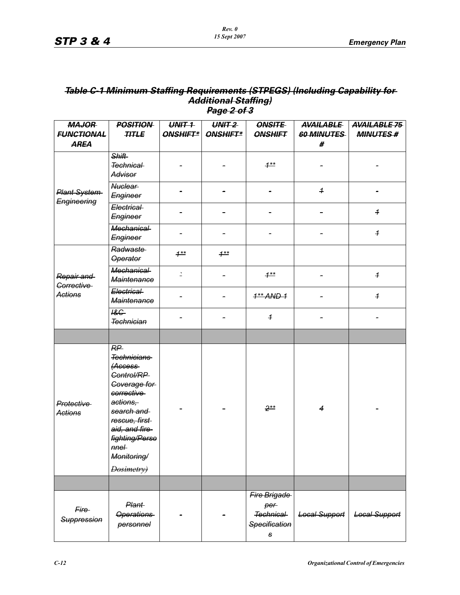## *Table C-1 Minimum Staffing Requirements (STPEGS) (Including Capability for Additional Staffing) Page 2 of 3*

| <b>MAJOR</b>                    | <b>POSITION</b>                                                                                                                                                                                                            | $UNIT-1$ | $UN + 2$ | <b>ONSITE</b>                                          | <b>AVAILABLE</b>     | <b>AVAILABLE 75</b>  |
|---------------------------------|----------------------------------------------------------------------------------------------------------------------------------------------------------------------------------------------------------------------------|----------|----------|--------------------------------------------------------|----------------------|----------------------|
| <b>FUNCTIONAL</b>               | <b>TITLE</b>                                                                                                                                                                                                               | ONSHIFT* | ONSHIFT* | <b>ONSHIFT</b>                                         | 60 MINUTES           | <b>MINUTES#</b>      |
| <b>AREA</b>                     |                                                                                                                                                                                                                            |          |          |                                                        | #                    |                      |
| Plant System<br>Engineering     | <b>Shift</b><br>Technical<br>Advisor                                                                                                                                                                                       |          |          | $1***$                                                 |                      |                      |
|                                 | <b>Nuclear</b><br>Engineer                                                                                                                                                                                                 |          |          |                                                        | $\overline{1}$       |                      |
|                                 | Electrical<br>Engineer                                                                                                                                                                                                     |          |          |                                                        |                      | $\overline{1}$       |
|                                 | <b>Mechanical</b><br>Engineer                                                                                                                                                                                              |          |          |                                                        |                      | $\overline{1}$       |
|                                 | Radwaste<br><b>Operator</b>                                                                                                                                                                                                | $1**$    | $1***$   |                                                        |                      |                      |
| Repair and<br><b>Corrective</b> | <b>Mechanical</b><br><b>Maintenance</b>                                                                                                                                                                                    | 2        |          | $1***$                                                 |                      | $\overline{1}$       |
| <b>Actions</b>                  | Electrical<br><b>Maintenance</b>                                                                                                                                                                                           |          |          | $1**$ AND 1                                            |                      | $\overline{1}$       |
|                                 | $18G -$<br><b>Technician</b>                                                                                                                                                                                               |          |          | $\overline{1}$                                         |                      |                      |
|                                 |                                                                                                                                                                                                                            |          |          |                                                        |                      |                      |
| Protective<br><b>Actions</b>    | RP<br><b>Technicians</b><br><i><b>Access</b></i><br>Control/RP<br>Coverage for<br>corrective<br>actions,<br>search and<br>rescue, first<br>aid, and fire-<br>fighting/Perso<br>$m$ e $\vdash$<br>Monitoring/<br>Dosimetry) |          |          | $2**$                                                  | $\overline{4}$       |                      |
|                                 |                                                                                                                                                                                                                            |          |          |                                                        |                      |                      |
| Fire<br>Suppression             | <b>Plant</b><br><b>Operations</b><br>personnel                                                                                                                                                                             |          |          | Fire Brigade<br>per<br>Technical<br>Specification<br>s | <b>Local Support</b> | <b>Local Support</b> |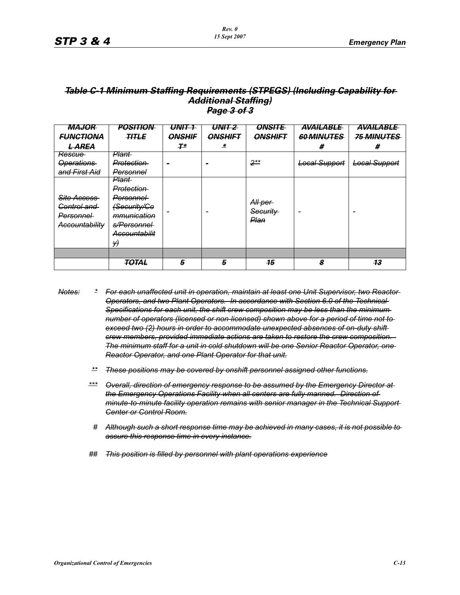### *Table C-1 Minimum Staffing Requirements (STPEGS) (Including Capability for Additional Staffing) Page 3 of 3*

| <b>MAJOR</b>                                                            | <b>POSITION</b>                                                                                                                         | UNIT 1        | UNIT 2         | <b>ONSITE</b>               | AVAILABLE            | AVAILABLE            |
|-------------------------------------------------------------------------|-----------------------------------------------------------------------------------------------------------------------------------------|---------------|----------------|-----------------------------|----------------------|----------------------|
| <b>FUNCTIONA</b>                                                        | <b>TITLE</b>                                                                                                                            | <b>ONSHIF</b> | <b>ONSHIFT</b> | <b>ONSHIFT</b>              | <b>60 MINUTES</b>    | <b>75 MINUTES</b>    |
| <del>L AREA</del>                                                       |                                                                                                                                         | $T^*$         | 老              |                             | #                    | #                    |
| <del>Rescue</del>                                                       | <del>Plant-</del>                                                                                                                       |               |                |                             |                      |                      |
| <b>Operations</b>                                                       | <del>Protection</del>                                                                                                                   |               |                | $2**$                       | <b>Local Support</b> | <b>Local Support</b> |
| and First Aid                                                           | <del>Personnel</del>                                                                                                                    |               |                |                             |                      |                      |
| Site Access<br>Control and<br><b>Personnel</b><br><b>Accountability</b> | <del>Plant-</del><br>Protection<br><del>Personnel</del><br><del>(Security/Co</del><br>mmunication<br>s/Personnel<br>Accountabilit<br>Y) |               |                | All per<br>Security<br>Plan |                      | -                    |
|                                                                         |                                                                                                                                         |               |                |                             |                      |                      |
|                                                                         | TOTAL                                                                                                                                   | 5             | 5              | 15                          | 8                    | 13                   |

- *Notes: \* For each unaffected unit in operation, maintain at least one Unit Supervisor, two Reactor Operators, and two Plant Operators. In accordance with Section 6.0 of the Technical Specifications for each unit, the shift crew composition may be less than the minimum number of operators (licensed or non-licensed) shown above for a period of time not to exceed two (2) hours in order to accommodate unexpected absences of on-duty shift crew members, provided immediate actions are taken to restore the crew composition. The minimum staff for a unit in cold shutdown will be one Senior Reactor Operator, one Reactor Operator, and one Plant Operator for that unit.*
	- *\*\* These positions may be covered by onshift personnel assigned other functions.*
	- *\*\*\* Overall, direction of emergency response to be assumed by the Emergency Director at the Emergency Operations Facility when all centers are fully manned. Direction of minute-to-minute facility operation remains with senior manager in the Technical Support Center or Control Room.*
	- *# Although such a short response time may be achieved in many cases, it is not possible to assure this response time in every instance.*
	- *## This position is filled by personnel with plant operations experience*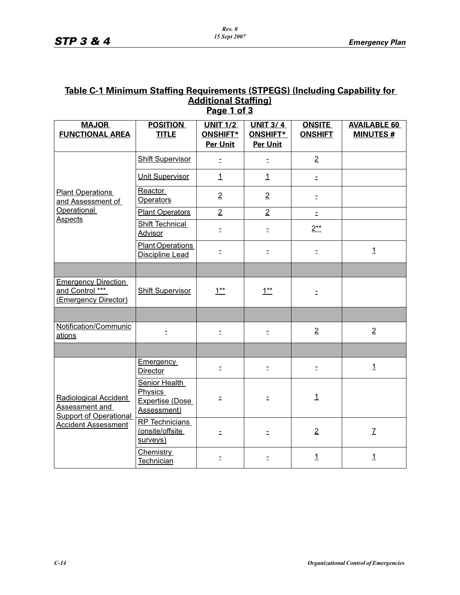# **Table C-1 Minimum Staffing Requirements (STPEGS) (Including Capability for Additional Staffing) Page 1 of 3**

| <b>MAJOR</b><br><b>FUNCTIONAL AREA</b>                                                                 | <b>POSITION</b><br><b>TITLE</b>                                   | <b>UNIT 1/2</b><br><b>ONSHIFT*</b> | <b>UNIT 3/4</b><br>ONSHIFT* | <b>ONSITE</b><br><b>ONSHIFT</b> | <b>AVAILABLE 60</b><br><b>MINUTES#</b> |
|--------------------------------------------------------------------------------------------------------|-------------------------------------------------------------------|------------------------------------|-----------------------------|---------------------------------|----------------------------------------|
|                                                                                                        |                                                                   | <b>Per Unit</b>                    | Per Unit                    |                                 |                                        |
|                                                                                                        | <b>Shift Supervisor</b>                                           | $\equiv$                           | $\equiv$                    | $\overline{2}$                  |                                        |
|                                                                                                        | <b>Unit Supervisor</b>                                            | $\mathbf{1}$                       | $\mathbf{1}$                | $\equiv$                        |                                        |
| <b>Plant Operations</b><br>and Assessment of                                                           | Reactor<br><b>Operators</b>                                       | $\overline{2}$                     | $\overline{2}$              | Ξ                               |                                        |
| <b>Operational</b>                                                                                     | <b>Plant Operators</b>                                            | $\overline{2}$                     | $\overline{2}$              | $\mathbb{Z}^+$                  |                                        |
| <b>Aspects</b>                                                                                         | Shift Technical<br>Advisor                                        | Ξ                                  | Ξ                           | $2**$                           |                                        |
|                                                                                                        | <b>Plant Operations</b><br><b>Discipline Lead</b>                 | $\equiv$                           | $\equiv$                    | $\bar{\Xi}$                     | $\overline{1}$                         |
|                                                                                                        |                                                                   |                                    |                             |                                 |                                        |
| <b>Emergency Direction</b><br>and Control ***<br>(Emergency Director)                                  | <b>Shift Supervisor</b>                                           | $1^{**}$                           | $1**$                       | Ξ                               |                                        |
|                                                                                                        |                                                                   |                                    |                             |                                 |                                        |
| Notification/Communic<br>ations                                                                        | $\equiv$                                                          | $\Xi$                              | $\Xi$                       | $\overline{2}$                  | $\overline{2}$                         |
|                                                                                                        |                                                                   |                                    |                             |                                 |                                        |
| Radiological Accident<br>Assessment and<br><b>Support of Operational</b><br><b>Accident Assessment</b> | <b>Emergency</b><br><b>Director</b>                               | $\bar{\Xi}$                        | $\bar{\Xi}$                 | $\equiv$                        | $\mathbf{1}$                           |
|                                                                                                        | Senior Health<br><b>Physics</b><br>Expertise (Dose<br>Assessment) | Ξ                                  | Ξ                           | $\overline{1}$                  |                                        |
|                                                                                                        | RP Technicians<br>(onsite/offsite<br>surveys)                     | $\equiv$                           | $\equiv$                    | $\overline{2}$                  | $\overline{L}$                         |
|                                                                                                        | Chemistry<br>Technician                                           | $\equiv$                           | $\equiv$                    | $\mathbf{1}$                    | $\overline{1}$                         |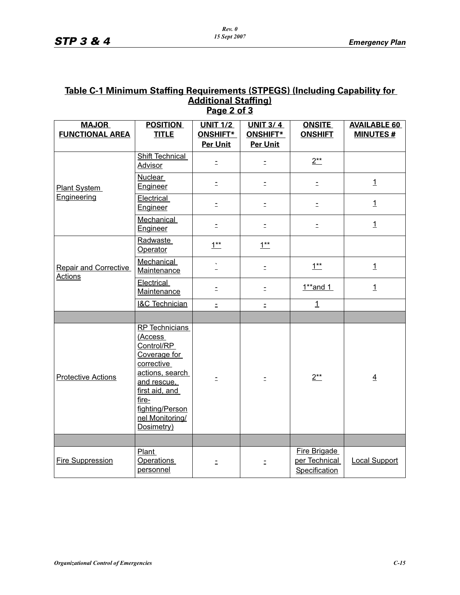# **Table C-1 Minimum Staffing Requirements (STPEGS) (Including Capability for Additional Staffing) Page 2 of 3**

| <b>MAJOR</b>                                   | <b>POSITION</b>                                                                                                                                                                               | <b>UNIT 1/2</b> | <b>UNIT 3/4</b> | <b>ONSITE</b>                                  | <b>AVAILABLE 60</b>  |
|------------------------------------------------|-----------------------------------------------------------------------------------------------------------------------------------------------------------------------------------------------|-----------------|-----------------|------------------------------------------------|----------------------|
| <b>FUNCTIONAL AREA</b>                         | <b>TITLE</b>                                                                                                                                                                                  | <b>ONSHIFT*</b> | ONSHIFT*        | <b>ONSHIFT</b>                                 | <b>MINUTES#</b>      |
|                                                |                                                                                                                                                                                               | <b>Per Unit</b> | Per Unit        |                                                |                      |
| <b>Plant System</b>                            | <b>Shift Technical</b><br><b>Advisor</b>                                                                                                                                                      | $\equiv$        | $\equiv$        | $2^{**}$                                       |                      |
|                                                | <b>Nuclear</b><br>Engineer                                                                                                                                                                    | $\equiv$        | $\equiv$        | $\equiv$                                       | $\mathbf{1}$         |
| Engineering                                    | Electrical<br>Engineer                                                                                                                                                                        | Ξ               | Ξ               | Ξ                                              | $\mathbf{1}$         |
|                                                | Mechanical<br>Engineer                                                                                                                                                                        | Ξ               | $\equiv$        | $\equiv$                                       | $\mathbf{1}$         |
|                                                | Radwaste<br>Operator                                                                                                                                                                          | $1**$           | $1^{**}$        |                                                |                      |
| <b>Repair and Corrective</b><br><b>Actions</b> | Mechanical<br>Maintenance                                                                                                                                                                     |                 | $\equiv$        | $1^{**}$                                       | $\mathbf{1}$         |
|                                                | Electrical<br>Maintenance                                                                                                                                                                     | $\mathbb{D}$    | $\bar{z}$       | $1**$ and 1                                    | $\mathbf{1}$         |
|                                                | <b>I&amp;C Technician</b>                                                                                                                                                                     | $\equiv$        | $\equiv$        | $\overline{1}$                                 |                      |
|                                                |                                                                                                                                                                                               |                 |                 |                                                |                      |
| <b>Protective Actions</b>                      | <b>RP</b> Technicians<br>(Access<br>Control/RP<br>Coverage for<br>corrective<br>actions, search<br>and rescue,<br>first aid, and<br>fire-<br>fighting/Person<br>nel Monitoring/<br>Dosimetry) |                 |                 | $2**$                                          | $\overline{4}$       |
|                                                |                                                                                                                                                                                               |                 |                 |                                                |                      |
| <b>Fire Suppression</b>                        | <b>Plant</b><br><b>Operations</b><br>personnel                                                                                                                                                | $\equiv$        | $\equiv$        | Fire Brigade<br>per Technical<br>Specification | <b>Local Support</b> |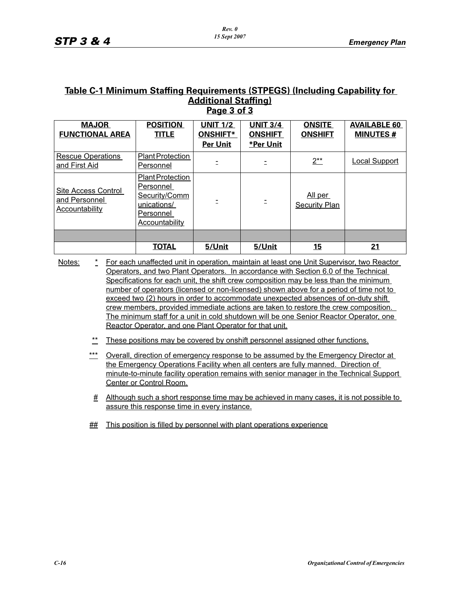#### **Table C-1 Minimum Staffing Requirements (STPEGS) (Including Capability for Additional Staffing) Page 3 of 3**

| <b>MAJOR</b><br><b>FUNCTIONAL AREA</b>                        | <b>POSITION</b><br><b>TITLE</b>                                                                     | <b>UNIT 1/2</b><br><b>ONSHIFT*</b><br><b>Per Unit</b> | <b>UNIT 3/4</b><br><b>ONSHIFT</b><br><b>*Per Unit</b> | <b>ONSITE</b><br><b>ONSHIFT</b> | <b>AVAILABLE 60</b><br><b>MINUTES#</b> |
|---------------------------------------------------------------|-----------------------------------------------------------------------------------------------------|-------------------------------------------------------|-------------------------------------------------------|---------------------------------|----------------------------------------|
| <b>Rescue Operations</b><br>and First Aid                     | <b>Plant Protection</b><br>Personnel                                                                |                                                       |                                                       | $2^{**}$                        | <b>Local Support</b>                   |
| Site Access Control<br>and Personnel<br><b>Accountability</b> | <b>Plant Protection</b><br>Personnel<br>Security/Comm<br>unications/<br>Personnel<br>Accountability |                                                       |                                                       | All per<br><b>Security Plan</b> |                                        |
|                                                               |                                                                                                     |                                                       |                                                       |                                 |                                        |
|                                                               | <b>TOTAL</b>                                                                                        | 5/Unit                                                | 5/Unit                                                | <u> 15</u>                      | 21                                     |

Notes: \* For each unaffected unit in operation, maintain at least one Unit Supervisor, two Reactor Operators, and two Plant Operators. In accordance with Section 6.0 of the Technical Specifications for each unit, the shift crew composition may be less than the minimum number of operators (licensed or non-licensed) shown above for a period of time not to exceed two (2) hours in order to accommodate unexpected absences of on-duty shift crew members, provided immediate actions are taken to restore the crew composition. The minimum staff for a unit in cold shutdown will be one Senior Reactor Operator, one Reactor Operator, and one Plant Operator for that unit.

- \*\* These positions may be covered by onshift personnel assigned other functions.
- \*\*\* Overall, direction of emergency response to be assumed by the Emergency Director at the Emergency Operations Facility when all centers are fully manned. Direction of minute-to-minute facility operation remains with senior manager in the Technical Support Center or Control Room.
	- # Although such a short response time may be achieved in many cases, it is not possible to assure this response time in every instance.
- ## This position is filled by personnel with plant operations experience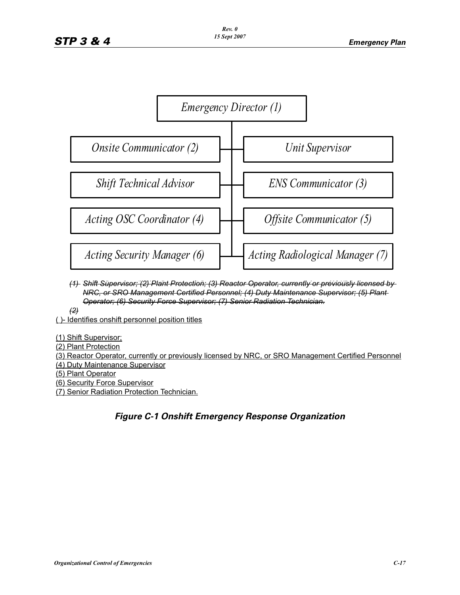

- (1) Shift Supervisor; (2) Plant Protection; (3) Reactor Operator, currently or previously licensed by *NRC, or SRO Management Certified Personnel; (4) Duty Maintenance Supervisor; (5) Plant Force Supervisor; (7) Senior Radiation Protection Technician. (2) Operator; (6) Security Force Supervisor; (7) Senior Radiation Technician.*
- *(2)*

 $\left( 2 \right)$ ( )- Identifies onshift personnel position titles

(1) Shift Supervisor;

(2) Plant Protection, currently licensed by NRC, or SRO Management Certified Personnel Personnel Personnel Personnel

(3) Reactor Operator, currently or previously licensed by NRC, or SRO Management Certified Personnel (4) Duty Maintenance Supervisor

(6) Plant Operator<br>(5) Plant Operator

<u>(5) Hant Operator</u><br>(6) Security Force Supervisor

(7) Senior Radiation Protection Technician.

# *Figure C-1 Onshift Emergency Response Organization*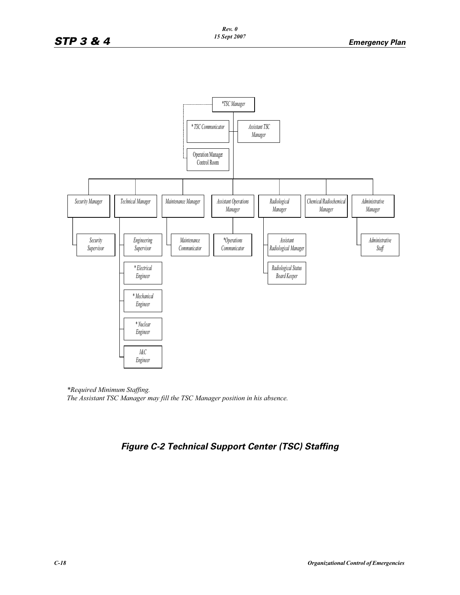

*\*Required Minimum Staffing. The Assistant TSC Manager may fill the TSC Manager position in his absence.*

# *Figure C-2 Technical Support Center (TSC) Staffing*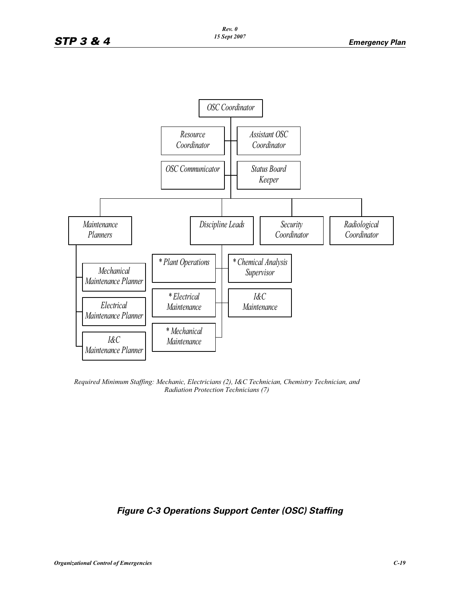

*Required Minimum Staffing: Mechanic, Electricians (2), I&C Technician, Chemistry Technician, and Radiation Protection Technicians (7)*

# *Figure C-3 Operations Support Center (OSC) Staffing*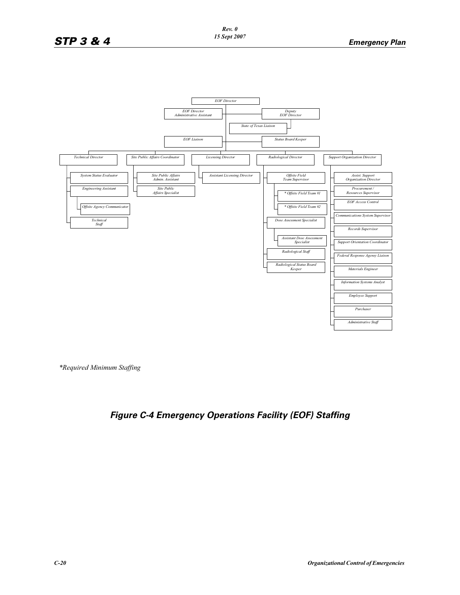

*\*Required Minimum Staffing*

# *Figure C-4 Emergency Operations Facility (EOF) Staffing*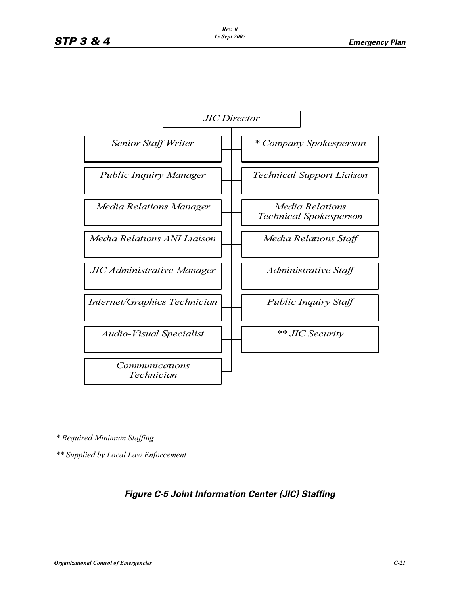

*\* Required Minimum Staffing*

*\*\* Supplied by Local Law Enforcement*

# *Figure C-5 Joint Information Center (JIC) Staffing*